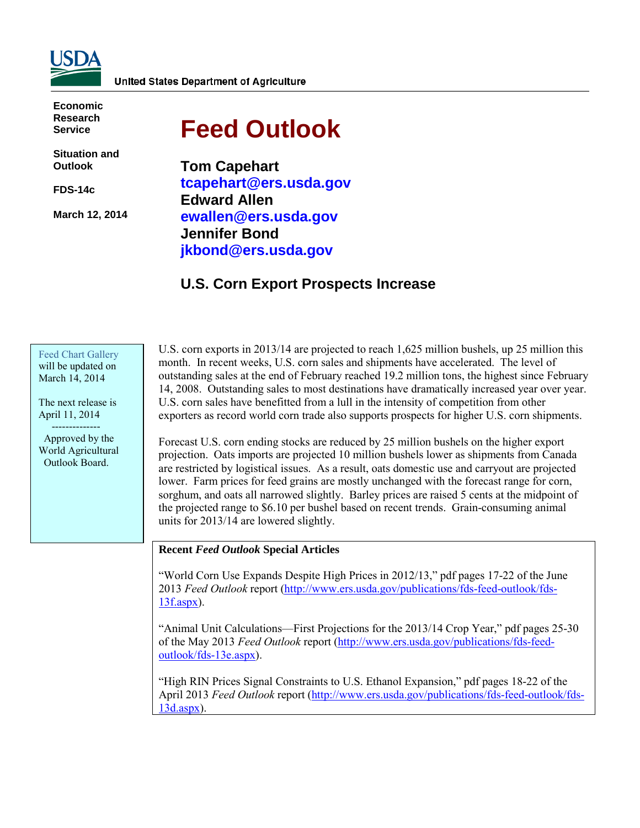

**Economic Research Service**

**Situation and Outlook**

**FDS-14c** 

**March 12, 2014** 

# **Feed Outlook**

**Tom Capehart tcapehart@ers.usda.gov Edward Allen ewallen@ers.usda.gov Jennifer Bond jkbond@ers.usda.gov** 

# **U.S. Corn Export Prospects Increase**

#### Feed [Chart Gallery](http://www.ers.usda.gov/data-products/feed-grain-chart-gallery.aspx) will be updated on March 14, 2014

The next release is April 11, 2014 --------------

 Approved by the World Agricultural Outlook Board.

U.S. corn exports in 2013/14 are projected to reach 1,625 million bushels, up 25 million this month. In recent weeks, U.S. corn sales and shipments have accelerated. The level of outstanding sales at the end of February reached 19.2 million tons, the highest since February 14, 2008. Outstanding sales to most destinations have dramatically increased year over year. U.S. corn sales have benefitted from a lull in the intensity of competition from other exporters as record world corn trade also supports prospects for higher U.S. corn shipments.

Forecast U.S. corn ending stocks are reduced by 25 million bushels on the higher export projection. Oats imports are projected 10 million bushels lower as shipments from Canada are restricted by logistical issues. As a result, oats domestic use and carryout are projected lower. Farm prices for feed grains are mostly unchanged with the forecast range for corn, sorghum, and oats all narrowed slightly. Barley prices are raised 5 cents at the midpoint of the projected range to \$6.10 per bushel based on recent trends. Grain-consuming animal units for 2013/14 are lowered slightly.

## **Recent** *Feed Outlook* **Special Articles**

"World Corn Use Expands Despite High Prices in 2012/13," pdf pages 17-22 of the June 2013 *Feed Outlook* report [\(http://www.ers.usda.gov/publications/fds-feed-outlook/fds-](http://www.ers.usda.gov/publications/fds-feed-outlook/fds-13f.aspx)[13f.aspx\)](http://www.ers.usda.gov/publications/fds-feed-outlook/fds-13f.aspx).

"Animal Unit Calculations—First Projections for the 2013/14 Crop Year," pdf pages 25-30 of the May 2013 *Feed Outlook* report [\(http://www.ers.usda.gov/publications/fds-feed](http://www.ers.usda.gov/publications/fds-feed-outlook/fds-13e.aspx)[outlook/fds-13e.aspx\)](http://www.ers.usda.gov/publications/fds-feed-outlook/fds-13e.aspx).

"High RIN Prices Signal Constraints to U.S. Ethanol Expansion," pdf pages 18-22 of the April 2013 *Feed Outlook* report [\(http://www.ers.usda.gov/publications/fds-feed-outlook/fds-](http://www.ers.usda.gov/publications/fds-feed-outlook/fds-13d.aspx)[13d.aspx\)](http://www.ers.usda.gov/publications/fds-feed-outlook/fds-13d.aspx).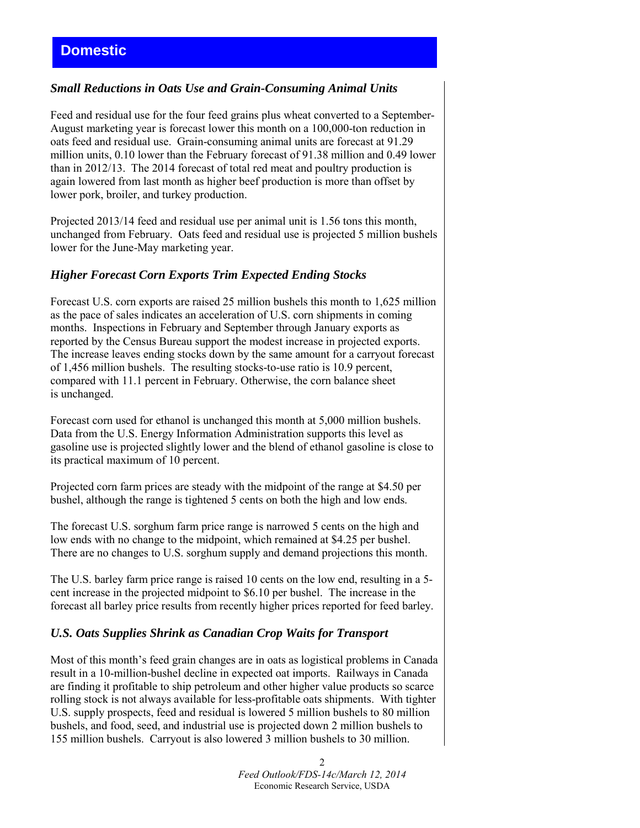# *Small Reductions in Oats Use and Grain-Consuming Animal Units*

Feed and residual use for the four feed grains plus wheat converted to a September-August marketing year is forecast lower this month on a 100,000-ton reduction in oats feed and residual use. Grain-consuming animal units are forecast at 91.29 million units, 0.10 lower than the February forecast of 91.38 million and 0.49 lower than in 2012/13. The 2014 forecast of total red meat and poultry production is again lowered from last month as higher beef production is more than offset by lower pork, broiler, and turkey production.

Projected 2013/14 feed and residual use per animal unit is 1.56 tons this month, unchanged from February. Oats feed and residual use is projected 5 million bushels lower for the June-May marketing year.

## *Higher Forecast Corn Exports Trim Expected Ending Stocks*

Forecast U.S. corn exports are raised 25 million bushels this month to 1,625 million as the pace of sales indicates an acceleration of U.S. corn shipments in coming months. Inspections in February and September through January exports as reported by the Census Bureau support the modest increase in projected exports. The increase leaves ending stocks down by the same amount for a carryout forecast of 1,456 million bushels. The resulting stocks-to-use ratio is 10.9 percent, compared with 11.1 percent in February. Otherwise, the corn balance sheet is unchanged.

Forecast corn used for ethanol is unchanged this month at 5,000 million bushels. Data from the U.S. Energy Information Administration supports this level as gasoline use is projected slightly lower and the blend of ethanol gasoline is close to its practical maximum of 10 percent.

Projected corn farm prices are steady with the midpoint of the range at \$4.50 per bushel, although the range is tightened 5 cents on both the high and low ends.

The forecast U.S. sorghum farm price range is narrowed 5 cents on the high and low ends with no change to the midpoint, which remained at \$4.25 per bushel. There are no changes to U.S. sorghum supply and demand projections this month.

The U.S. barley farm price range is raised 10 cents on the low end, resulting in a 5 cent increase in the projected midpoint to \$6.10 per bushel. The increase in the forecast all barley price results from recently higher prices reported for feed barley.

## *U.S. Oats Supplies Shrink as Canadian Crop Waits for Transport*

Most of this month's feed grain changes are in oats as logistical problems in Canada result in a 10-million-bushel decline in expected oat imports. Railways in Canada are finding it profitable to ship petroleum and other higher value products so scarce rolling stock is not always available for less-profitable oats shipments. With tighter U.S. supply prospects, feed and residual is lowered 5 million bushels to 80 million bushels, and food, seed, and industrial use is projected down 2 million bushels to 155 million bushels. Carryout is also lowered 3 million bushels to 30 million.

> 2 *Feed Outlook/FDS-14c/March 12, 2014* Economic Research Service, USDA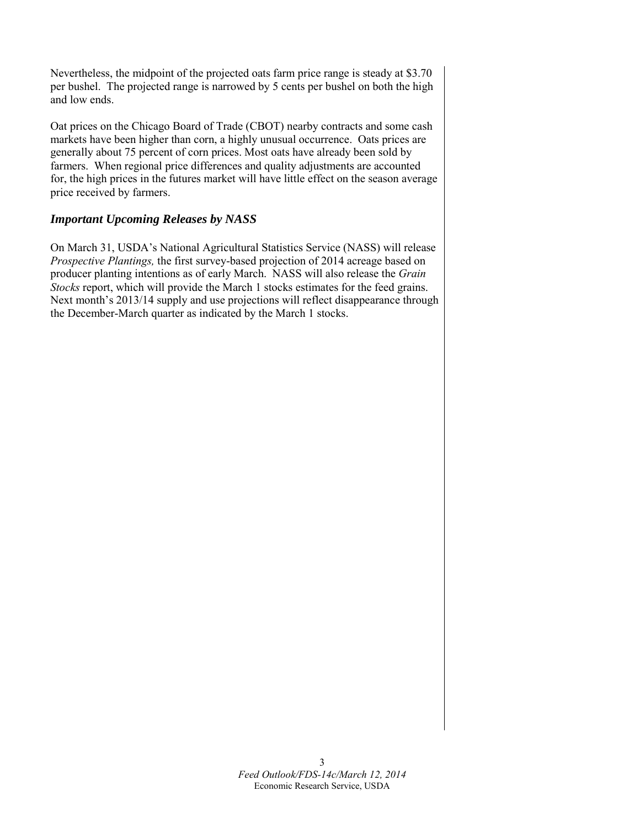Nevertheless, the midpoint of the projected oats farm price range is steady at \$3.70 per bushel. The projected range is narrowed by 5 cents per bushel on both the high and low ends.

Oat prices on the Chicago Board of Trade (CBOT) nearby contracts and some cash markets have been higher than corn, a highly unusual occurrence. Oats prices are generally about 75 percent of corn prices. Most oats have already been sold by farmers. When regional price differences and quality adjustments are accounted for, the high prices in the futures market will have little effect on the season average price received by farmers.

## *Important Upcoming Releases by NASS*

On March 31, USDA's National Agricultural Statistics Service (NASS) will release *Prospective Plantings,* the first survey-based projection of 2014 acreage based on producer planting intentions as of early March. NASS will also release the *Grain Stocks* report, which will provide the March 1 stocks estimates for the feed grains. Next month's 2013/14 supply and use projections will reflect disappearance through the December-March quarter as indicated by the March 1 stocks.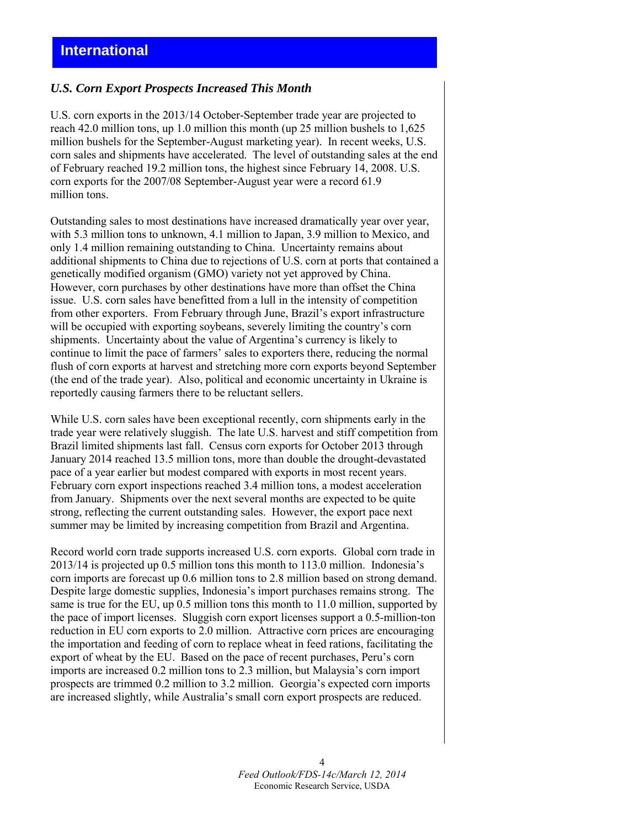## *U.S. Corn Export Prospects Increased This Month*

U.S. corn exports in the 2013/14 October-September trade year are projected to reach 42.0 million tons, up 1.0 million this month (up 25 million bushels to 1,625 million bushels for the September-August marketing year). In recent weeks, U.S. corn sales and shipments have accelerated. The level of outstanding sales at the end of February reached 19.2 million tons, the highest since February 14, 2008. U.S. corn exports for the 2007/08 September-August year were a record 61.9 million tons.

Outstanding sales to most destinations have increased dramatically year over year, with 5.3 million tons to unknown, 4.1 million to Japan, 3.9 million to Mexico, and only 1.4 million remaining outstanding to China. Uncertainty remains about additional shipments to China due to rejections of U.S. corn at ports that contained a genetically modified organism (GMO) variety not yet approved by China. However, corn purchases by other destinations have more than offset the China issue. U.S. corn sales have benefitted from a lull in the intensity of competition from other exporters. From February through June, Brazil's export infrastructure will be occupied with exporting soybeans, severely limiting the country's corn shipments. Uncertainty about the value of Argentina's currency is likely to continue to limit the pace of farmers' sales to exporters there, reducing the normal flush of corn exports at harvest and stretching more corn exports beyond September (the end of the trade year). Also, political and economic uncertainty in Ukraine is reportedly causing farmers there to be reluctant sellers.

While U.S. corn sales have been exceptional recently, corn shipments early in the trade year were relatively sluggish. The late U.S. harvest and stiff competition from Brazil limited shipments last fall. Census corn exports for October 2013 through January 2014 reached 13.5 million tons, more than double the drought-devastated pace of a year earlier but modest compared with exports in most recent years. February corn export inspections reached 3.4 million tons, a modest acceleration from January. Shipments over the next several months are expected to be quite strong, reflecting the current outstanding sales. However, the export pace next summer may be limited by increasing competition from Brazil and Argentina.

Record world corn trade supports increased U.S. corn exports. Global corn trade in 2013/14 is projected up 0.5 million tons this month to 113.0 million. Indonesia's corn imports are forecast up 0.6 million tons to 2.8 million based on strong demand. Despite large domestic supplies, Indonesia's import purchases remains strong. The same is true for the EU, up 0.5 million tons this month to 11.0 million, supported by the pace of import licenses. Sluggish corn export licenses support a 0.5-million-ton reduction in EU corn exports to 2.0 million. Attractive corn prices are encouraging the importation and feeding of corn to replace wheat in feed rations, facilitating the export of wheat by the EU. Based on the pace of recent purchases, Peru's corn imports are increased 0.2 million tons to 2.3 million, but Malaysia's corn import prospects are trimmed 0.2 million to 3.2 million. Georgia's expected corn imports are increased slightly, while Australia's small corn export prospects are reduced.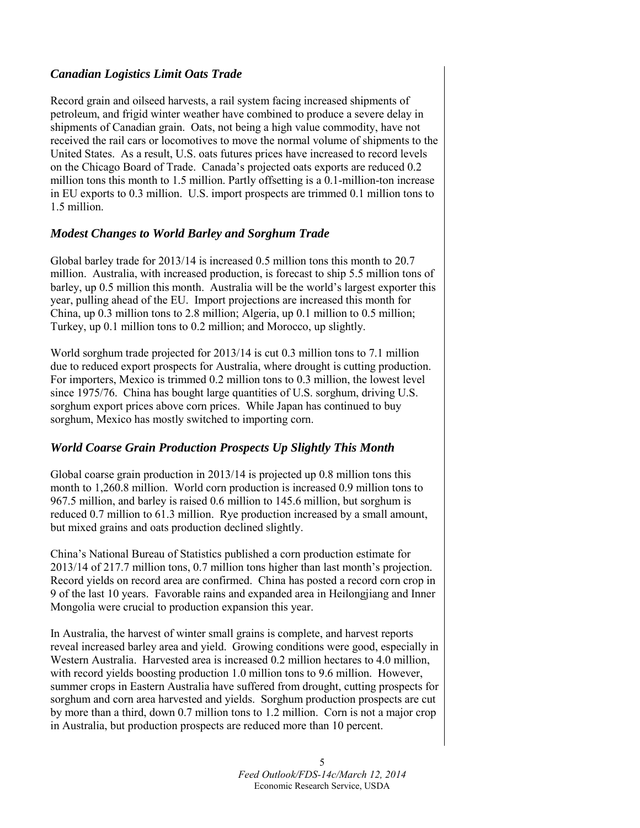## *Canadian Logistics Limit Oats Trade*

Record grain and oilseed harvests, a rail system facing increased shipments of petroleum, and frigid winter weather have combined to produce a severe delay in shipments of Canadian grain. Oats, not being a high value commodity, have not received the rail cars or locomotives to move the normal volume of shipments to the United States. As a result, U.S. oats futures prices have increased to record levels on the Chicago Board of Trade. Canada's projected oats exports are reduced 0.2 million tons this month to 1.5 million. Partly offsetting is a 0.1-million-ton increase in EU exports to 0.3 million. U.S. import prospects are trimmed 0.1 million tons to 1.5 million.

## *Modest Changes to World Barley and Sorghum Trade*

Global barley trade for 2013/14 is increased 0.5 million tons this month to 20.7 million. Australia, with increased production, is forecast to ship 5.5 million tons of barley, up 0.5 million this month. Australia will be the world's largest exporter this year, pulling ahead of the EU. Import projections are increased this month for China, up 0.3 million tons to 2.8 million; Algeria, up 0.1 million to 0.5 million; Turkey, up 0.1 million tons to 0.2 million; and Morocco, up slightly.

World sorghum trade projected for 2013/14 is cut 0.3 million tons to 7.1 million due to reduced export prospects for Australia, where drought is cutting production. For importers, Mexico is trimmed 0.2 million tons to 0.3 million, the lowest level since 1975/76. China has bought large quantities of U.S. sorghum, driving U.S. sorghum export prices above corn prices. While Japan has continued to buy sorghum, Mexico has mostly switched to importing corn.

# *World Coarse Grain Production Prospects Up Slightly This Month*

Global coarse grain production in 2013/14 is projected up 0.8 million tons this month to 1,260.8 million. World corn production is increased 0.9 million tons to 967.5 million, and barley is raised 0.6 million to 145.6 million, but sorghum is reduced 0.7 million to 61.3 million. Rye production increased by a small amount, but mixed grains and oats production declined slightly.

China's National Bureau of Statistics published a corn production estimate for 2013/14 of 217.7 million tons, 0.7 million tons higher than last month's projection. Record yields on record area are confirmed. China has posted a record corn crop in 9 of the last 10 years. Favorable rains and expanded area in Heilongjiang and Inner Mongolia were crucial to production expansion this year.

In Australia, the harvest of winter small grains is complete, and harvest reports reveal increased barley area and yield. Growing conditions were good, especially in Western Australia. Harvested area is increased 0.2 million hectares to 4.0 million, with record yields boosting production 1.0 million tons to 9.6 million. However, summer crops in Eastern Australia have suffered from drought, cutting prospects for sorghum and corn area harvested and yields. Sorghum production prospects are cut by more than a third, down 0.7 million tons to 1.2 million. Corn is not a major crop in Australia, but production prospects are reduced more than 10 percent.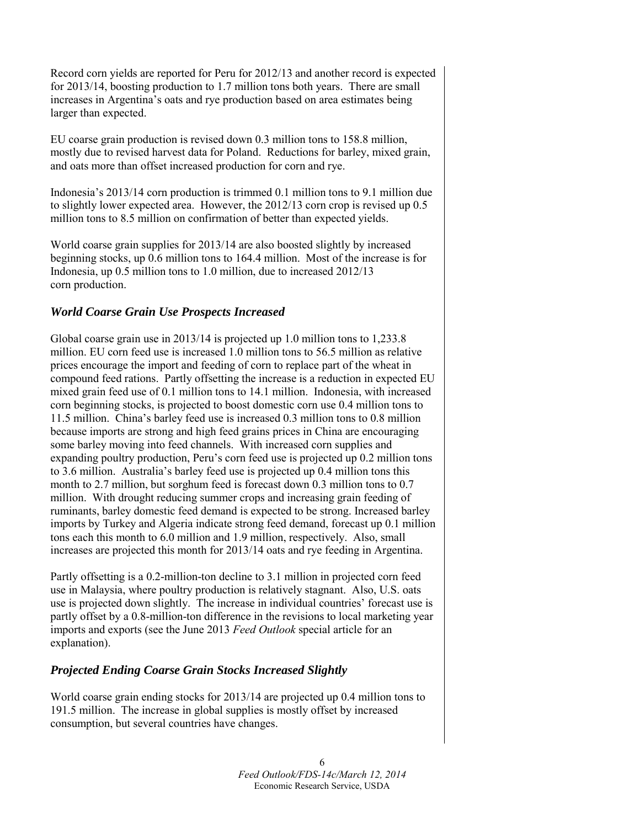Record corn yields are reported for Peru for 2012/13 and another record is expected for 2013/14, boosting production to 1.7 million tons both years. There are small increases in Argentina's oats and rye production based on area estimates being larger than expected.

EU coarse grain production is revised down 0.3 million tons to 158.8 million, mostly due to revised harvest data for Poland. Reductions for barley, mixed grain, and oats more than offset increased production for corn and rye.

Indonesia's 2013/14 corn production is trimmed 0.1 million tons to 9.1 million due to slightly lower expected area. However, the 2012/13 corn crop is revised up 0.5 million tons to 8.5 million on confirmation of better than expected yields.

World coarse grain supplies for 2013/14 are also boosted slightly by increased beginning stocks, up 0.6 million tons to 164.4 million. Most of the increase is for Indonesia, up 0.5 million tons to 1.0 million, due to increased 2012/13 corn production.

## *World Coarse Grain Use Prospects Increased*

Global coarse grain use in 2013/14 is projected up 1.0 million tons to 1,233.8 million. EU corn feed use is increased 1.0 million tons to 56.5 million as relative prices encourage the import and feeding of corn to replace part of the wheat in compound feed rations. Partly offsetting the increase is a reduction in expected EU mixed grain feed use of 0.1 million tons to 14.1 million. Indonesia, with increased corn beginning stocks, is projected to boost domestic corn use 0.4 million tons to 11.5 million. China's barley feed use is increased 0.3 million tons to 0.8 million because imports are strong and high feed grains prices in China are encouraging some barley moving into feed channels. With increased corn supplies and expanding poultry production, Peru's corn feed use is projected up 0.2 million tons to 3.6 million. Australia's barley feed use is projected up 0.4 million tons this month to 2.7 million, but sorghum feed is forecast down 0.3 million tons to 0.7 million. With drought reducing summer crops and increasing grain feeding of ruminants, barley domestic feed demand is expected to be strong. Increased barley imports by Turkey and Algeria indicate strong feed demand, forecast up 0.1 million tons each this month to 6.0 million and 1.9 million, respectively. Also, small increases are projected this month for 2013/14 oats and rye feeding in Argentina.

Partly offsetting is a 0.2-million-ton decline to 3.1 million in projected corn feed use in Malaysia, where poultry production is relatively stagnant. Also, U.S. oats use is projected down slightly. The increase in individual countries' forecast use is partly offset by a 0.8-million-ton difference in the revisions to local marketing year imports and exports (see the June 2013 *Feed Outlook* special article for an explanation).

## *Projected Ending Coarse Grain Stocks Increased Slightly*

World coarse grain ending stocks for 2013/14 are projected up 0.4 million tons to 191.5 million. The increase in global supplies is mostly offset by increased consumption, but several countries have changes.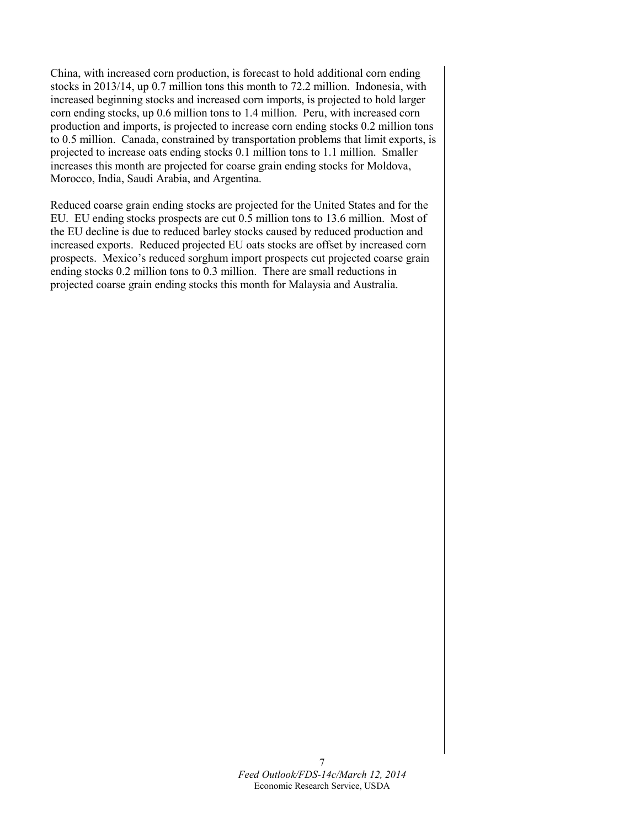China, with increased corn production, is forecast to hold additional corn ending stocks in 2013/14, up 0.7 million tons this month to 72.2 million. Indonesia, with increased beginning stocks and increased corn imports, is projected to hold larger corn ending stocks, up 0.6 million tons to 1.4 million. Peru, with increased corn production and imports, is projected to increase corn ending stocks 0.2 million tons to 0.5 million. Canada, constrained by transportation problems that limit exports, is projected to increase oats ending stocks 0.1 million tons to 1.1 million. Smaller increases this month are projected for coarse grain ending stocks for Moldova, Morocco, India, Saudi Arabia, and Argentina.

Reduced coarse grain ending stocks are projected for the United States and for the EU. EU ending stocks prospects are cut 0.5 million tons to 13.6 million. Most of the EU decline is due to reduced barley stocks caused by reduced production and increased exports. Reduced projected EU oats stocks are offset by increased corn prospects. Mexico's reduced sorghum import prospects cut projected coarse grain ending stocks 0.2 million tons to 0.3 million. There are small reductions in projected coarse grain ending stocks this month for Malaysia and Australia.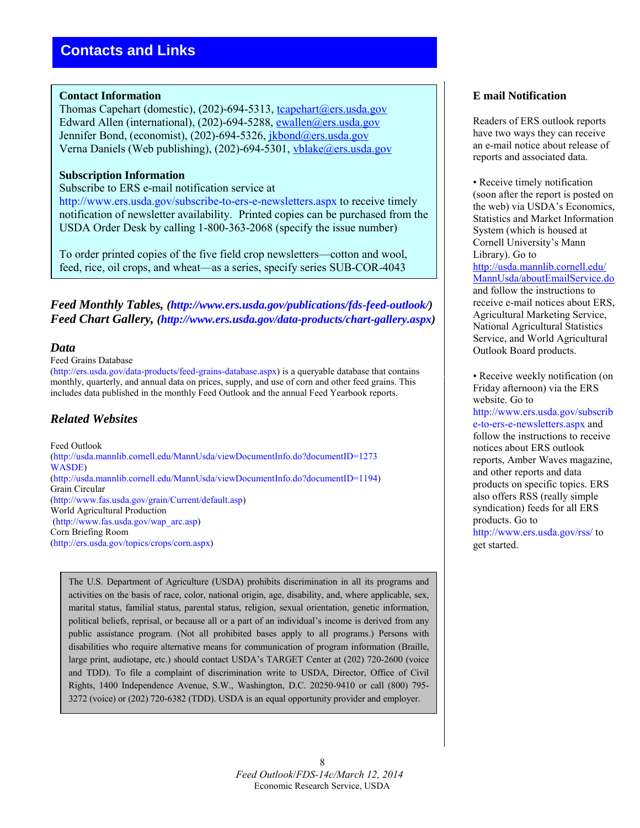## **Contact Information**

Thomas Capehart (domestic), (202)-694-5313, tcapehart@ers.usda.gov Edward Allen (international), (202)-694-5288, [ewallen@ers.usda.gov](mailto:ewallen@ers.usda.gov) Jennifer Bond, (economist), (202)-694-5326, jkbond@ers.usda.gov Verna Daniels (Web publishing), (202)-694-5301, [vblake@ers.usda.gov](mailto:vblake@ers.usda.gov)

## **Subscription Information**

### Subscribe to ERS e-mail notification service at

http://www.ers.usda.gov/subscribe-to-ers-e-newsletters.aspx to receive timely notification of newsletter availability. Printed copies can be purchased from the USDA Order Desk by calling 1-800-363-2068 (specify the issue number)

To order printed copies of the five field crop newsletters—cotton and wool, feed, rice, oil crops, and wheat—as a series, specify series SUB-COR-4043

*Feed Monthly Tables, (http://www.ers.usda.gov/publications/fds-feed-outlook/) Feed Chart Gallery, (http://www.ers.usda.gov/data-products/chart-gallery.aspx)* 

## *Data*

#### Feed Grains Database

(http://ers.usda.gov/data-products/feed-grains-database.aspx) is a queryable database that contains monthly, quarterly, and annual data on prices, supply, and use of corn and other feed grains. This includes data published in the monthly Feed Outlook and the annual Feed Yearbook reports.

## *Related Websites*

Feed Outlook (http://usda.mannlib.cornell.edu/MannUsda/viewDocumentInfo.do?documentID=1273 WASDE) (http://usda.mannlib.cornell.edu/MannUsda/viewDocumentInfo.do?documentID=1194) Grain Circular (http://www.fas.usda.gov/grain/Current/default.asp) World Agricultural Production (http://www.fas.usda.gov/wap\_arc.asp) Corn Briefing Room (http://ers.usda.gov/topics/crops/corn.aspx)

The U.S. Department of Agriculture (USDA) prohibits discrimination in all its programs and activities on the basis of race, color, national origin, age, disability, and, where applicable, sex, marital status, familial status, parental status, religion, sexual orientation, genetic information, political beliefs, reprisal, or because all or a part of an individual's income is derived from any public assistance program. (Not all prohibited bases apply to all programs.) Persons with disabilities who require alternative means for communication of program information (Braille, large print, audiotape, etc.) should contact USDA's TARGET Center at (202) 720-2600 (voice and TDD). To file a complaint of discrimination write to USDA, Director, Office of Civil Rights, 1400 Independence Avenue, S.W., Washington, D.C. 20250-9410 or call (800) 795- 3272 (voice) or (202) 720-6382 (TDD). USDA is an equal opportunity provider and employer.

## **E mail Notification**

Readers of ERS outlook reports have two ways they can receive an e-mail notice about release of reports and associated data.

• Receive timely notification (soon after the report is posted on the web) via USDA's Economics, Statistics and Market Information System (which is housed at Cornell University's Mann Library). Go to [http://usda.mannlib.cornell.edu/](http://usda.mannlib.cornell.edu/MannUsda/aboutEmailService.do) [MannUsda/aboutEmailService.do](http://usda.mannlib.cornell.edu/MannUsda/aboutEmailService.do) and follow the instructions to receive e-mail notices about ERS, Agricultural Marketing Service, National Agricultural Statistics Service, and World Agricultural Outlook Board products.

• Receive weekly notification (on Friday afternoon) via the ERS website. Go to http://www.ers.usda.gov/subscrib e-to-ers-e-newsletters.aspx and follow the instructions to receive notices about ERS outlook reports, Amber Waves magazine, and other reports and data products on specific topics. ERS also offers RSS (really simple syndication) feeds for all ERS products. Go to http://www.ers.usda.gov/rss/ to get started.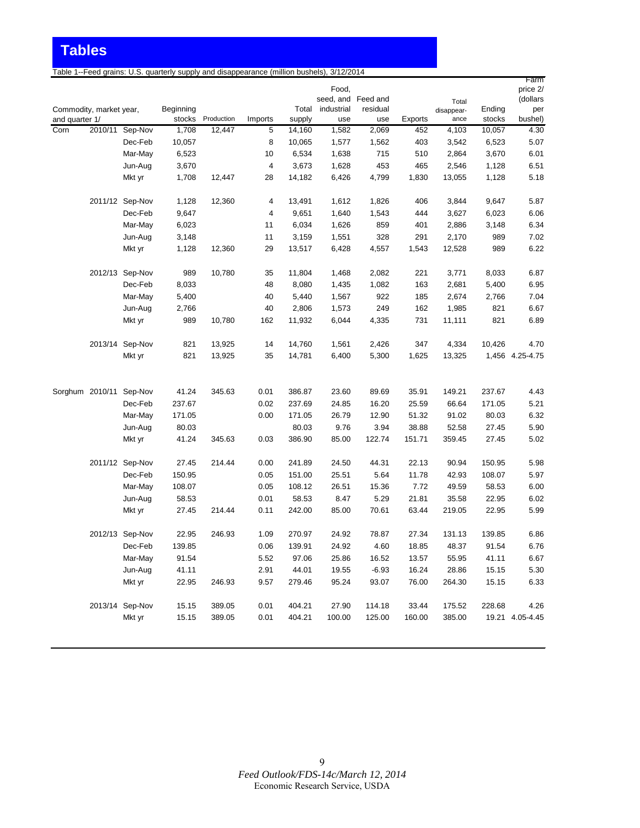Table 1--Feed grains: U.S. quarterly supply and disappearance (million bushels), 3/12/2014

|                |                         |                 |           |            |         |        |                             |          |         |                     |        | Farm                 |
|----------------|-------------------------|-----------------|-----------|------------|---------|--------|-----------------------------|----------|---------|---------------------|--------|----------------------|
|                |                         |                 |           |            |         |        | Food,<br>seed, and Feed and |          |         |                     |        | price 2/<br>(dollars |
|                | Commodity, market year, |                 | Beginning |            |         | Total  | industrial                  | residual |         | Total<br>disappear- | Ending | per                  |
| and quarter 1/ |                         |                 | stocks    | Production | Imports | supply | use                         | use      | Exports | ance                | stocks | bushel)              |
| Corn           |                         | 2010/11 Sep-Nov | 1,708     | 12,447     | 5       | 14,160 | 1,582                       | 2,069    | 452     | 4,103               | 10,057 | 4.30                 |
|                |                         | Dec-Feb         | 10,057    |            | 8       | 10,065 | 1,577                       | 1,562    | 403     | 3,542               | 6,523  | 5.07                 |
|                |                         | Mar-May         | 6,523     |            | 10      | 6,534  | 1,638                       | 715      | 510     | 2,864               | 3,670  | 6.01                 |
|                |                         | Jun-Aug         | 3,670     |            | 4       | 3,673  | 1,628                       | 453      | 465     | 2,546               | 1,128  | 6.51                 |
|                |                         | Mkt yr          | 1,708     | 12,447     | 28      | 14,182 | 6,426                       | 4,799    | 1,830   | 13,055              | 1,128  | 5.18                 |
|                |                         | 2011/12 Sep-Nov | 1,128     | 12,360     | 4       | 13,491 | 1,612                       | 1,826    | 406     | 3,844               | 9,647  | 5.87                 |
|                |                         | Dec-Feb         | 9,647     |            | 4       | 9,651  | 1,640                       | 1,543    | 444     | 3,627               | 6,023  | 6.06                 |
|                |                         | Mar-May         | 6,023     |            | 11      | 6,034  | 1,626                       | 859      | 401     | 2,886               | 3,148  | 6.34                 |
|                |                         | Jun-Aug         | 3,148     |            | 11      | 3,159  | 1,551                       | 328      | 291     | 2,170               | 989    | 7.02                 |
|                |                         | Mkt yr          | 1,128     | 12,360     | 29      | 13,517 | 6,428                       | 4,557    | 1,543   | 12,528              | 989    | 6.22                 |
|                |                         | 2012/13 Sep-Nov | 989       | 10,780     | 35      | 11,804 | 1,468                       | 2,082    | 221     | 3,771               | 8,033  | 6.87                 |
|                |                         | Dec-Feb         | 8,033     |            | 48      | 8,080  | 1,435                       | 1,082    | 163     | 2,681               | 5,400  | 6.95                 |
|                |                         | Mar-May         | 5,400     |            | 40      | 5,440  | 1,567                       | 922      | 185     | 2,674               | 2,766  | 7.04                 |
|                |                         | Jun-Aug         | 2,766     |            | 40      | 2,806  | 1,573                       | 249      | 162     | 1,985               | 821    | 6.67                 |
|                |                         | Mkt yr          | 989       | 10,780     | 162     | 11,932 | 6,044                       | 4,335    | 731     | 11,111              | 821    | 6.89                 |
|                |                         | 2013/14 Sep-Nov | 821       | 13,925     | 14      | 14,760 | 1,561                       | 2,426    | 347     | 4,334               | 10,426 | 4.70                 |
|                |                         | Mkt yr          | 821       | 13,925     | 35      | 14,781 | 6,400                       | 5,300    | 1,625   | 13,325              |        | 1,456 4.25-4.75      |
|                |                         |                 |           |            |         |        |                             |          |         |                     |        |                      |
|                | Sorghum 2010/11 Sep-Nov |                 | 41.24     | 345.63     | 0.01    | 386.87 | 23.60                       | 89.69    | 35.91   | 149.21              | 237.67 | 4.43                 |
|                |                         | Dec-Feb         | 237.67    |            | 0.02    | 237.69 | 24.85                       | 16.20    | 25.59   | 66.64               | 171.05 | 5.21                 |
|                |                         | Mar-May         | 171.05    |            | 0.00    | 171.05 | 26.79                       | 12.90    | 51.32   | 91.02               | 80.03  | 6.32                 |
|                |                         | Jun-Aug         | 80.03     |            |         | 80.03  | 9.76                        | 3.94     | 38.88   | 52.58               | 27.45  | 5.90                 |
|                |                         | Mkt yr          | 41.24     | 345.63     | 0.03    | 386.90 | 85.00                       | 122.74   | 151.71  | 359.45              | 27.45  | 5.02                 |
|                |                         | 2011/12 Sep-Nov | 27.45     | 214.44     | 0.00    | 241.89 | 24.50                       | 44.31    | 22.13   | 90.94               | 150.95 | 5.98                 |
|                |                         | Dec-Feb         | 150.95    |            | 0.05    | 151.00 | 25.51                       | 5.64     | 11.78   | 42.93               | 108.07 | 5.97                 |
|                |                         | Mar-May         | 108.07    |            | 0.05    | 108.12 | 26.51                       | 15.36    | 7.72    | 49.59               | 58.53  | 6.00                 |
|                |                         | Jun-Aug         | 58.53     |            | 0.01    | 58.53  | 8.47                        | 5.29     | 21.81   | 35.58               | 22.95  | 6.02                 |
|                |                         | Mkt yr          | 27.45     | 214.44     | 0.11    | 242.00 | 85.00                       | 70.61    | 63.44   | 219.05              | 22.95  | 5.99                 |
|                |                         | 2012/13 Sep-Nov | 22.95     | 246.93     | 1.09    | 270.97 | 24.92                       | 78.87    | 27.34   | 131.13              | 139.85 | 6.86                 |
|                |                         | Dec-Feb         | 139.85    |            | 0.06    | 139.91 | 24.92                       | 4.60     | 18.85   | 48.37               | 91.54  | 6.76                 |
|                |                         | Mar-May         | 91.54     |            | 5.52    | 97.06  | 25.86                       | 16.52    | 13.57   | 55.95               | 41.11  | 6.67                 |
|                |                         | Jun-Aug         | 41.11     |            | 2.91    | 44.01  | 19.55                       | $-6.93$  | 16.24   | 28.86               | 15.15  | 5.30                 |
|                |                         | Mkt yr          | 22.95     | 246.93     | 9.57    | 279.46 | 95.24                       | 93.07    | 76.00   | 264.30              | 15.15  | 6.33                 |
|                |                         | 2013/14 Sep-Nov | 15.15     | 389.05     | 0.01    | 404.21 | 27.90                       | 114.18   | 33.44   | 175.52              | 228.68 | 4.26                 |
|                |                         | Mkt yr          | 15.15     | 389.05     | 0.01    | 404.21 | 100.00                      | 125.00   | 160.00  | 385.00              |        | 19.21 4.05-4.45      |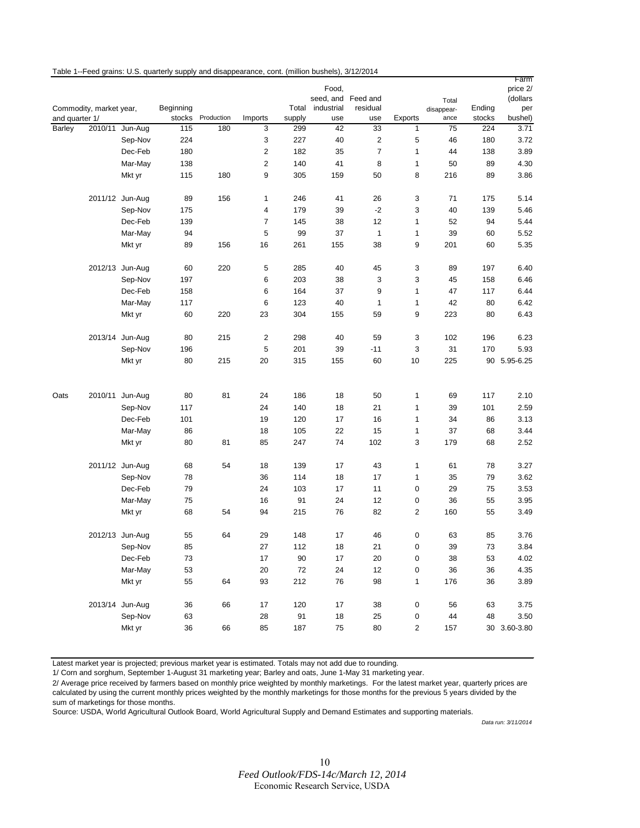|                |                         |                    |              |            |                |           |                    |                |                |            |          | Farm         |
|----------------|-------------------------|--------------------|--------------|------------|----------------|-----------|--------------------|----------------|----------------|------------|----------|--------------|
|                |                         |                    |              |            |                |           | Food,              |                |                |            |          | price 2/     |
|                |                         |                    |              |            |                |           | seed, and Feed and |                |                | Total      |          | (dollars     |
|                | Commodity, market year, |                    | Beginning    |            |                | Total     | industrial         | residual       |                | disappear- | Ending   | per          |
| and quarter 1/ |                         |                    | stocks       | Production | Imports        | supply    | use                | use            | Exports        | ance       | stocks   | bushel)      |
| Barley         | 2010/11                 | Jun-Aug            | 115          | 180        | 3              | 299       | 42                 | 33             | $\mathbf{1}$   | 75         | 224      | 3.71         |
|                |                         | Sep-Nov            | 224          |            | 3              | 227       | 40                 | 2              | 5              | 46         | 180      | 3.72         |
|                |                         | Dec-Feb            | 180          |            | 2              | 182       | 35                 | $\overline{7}$ | 1              | 44         | 138      | 3.89         |
|                |                         | Mar-May            | 138          |            | $\overline{c}$ | 140       | 41                 | 8              | 1              | 50         | 89       | 4.30         |
|                |                         | Mkt yr             | 115          | 180        | 9              | 305       | 159                | 50             | 8              | 216        | 89       | 3.86         |
|                |                         | 2011/12 Jun-Aug    | 89           | 156        | 1              | 246       | 41                 | 26             | 3              | 71         | 175      | 5.14         |
|                |                         | Sep-Nov            | 175          |            | 4              | 179       | 39                 | $-2$           | 3              | 40         | 139      | 5.46         |
|                |                         | Dec-Feb            | 139          |            | $\overline{7}$ | 145       | 38                 | 12             | 1              | 52         | 94       | 5.44         |
|                |                         | Mar-May            | 94           |            | 5              | 99        | 37                 | $\mathbf{1}$   | 1              | 39         | 60       | 5.52         |
|                |                         | Mkt yr             | 89           | 156        | 16             | 261       | 155                | 38             | 9              | 201        | 60       | 5.35         |
|                |                         | 2012/13 Jun-Aug    | 60           | 220        | 5              | 285       | 40                 | 45             | 3              | 89         | 197      | 6.40         |
|                |                         |                    | 197          |            | 6              | 203       | 38                 | 3              | 3              | 45         | 158      | 6.46         |
|                |                         | Sep-Nov<br>Dec-Feb |              |            | 6              | 164       | 37                 | 9              | 1              | 47         |          | 6.44         |
|                |                         |                    | 158          |            |                |           |                    |                |                |            | 117      | 6.42         |
|                |                         | Mar-May            | 117          |            | 6              | 123       | 40                 | 1              | $\mathbf{1}$   | 42         | 80       |              |
|                |                         | Mkt yr             | 60           | 220        | 23             | 304       | 155                | 59             | 9              | 223        | 80       | 6.43         |
|                |                         | 2013/14 Jun-Aug    | 80           | 215        | 2              | 298       | 40                 | 59             | 3              | 102        | 196      | 6.23         |
|                |                         | Sep-Nov            | 196          |            | 5              | 201       | 39                 | $-11$          | 3              | 31         | 170      | 5.93         |
|                |                         | Mkt yr             | 80           | 215        | 20             | 315       | 155                | 60             | 10             | 225        |          | 90 5.95-6.25 |
|                |                         |                    |              |            |                |           |                    |                |                |            |          |              |
| Oats           |                         | 2010/11 Jun-Aug    | 80           | 81         | 24             | 186       | 18                 | 50             | 1              | 69         | 117      | 2.10         |
|                |                         | Sep-Nov            | 117          |            | 24             | 140       | 18                 | 21             | $\mathbf{1}$   | 39         | 101      | 2.59         |
|                |                         | Dec-Feb            | 101          |            | 19             | 120       | 17                 | 16             | 1              | 34         | 86       | 3.13         |
|                |                         | Mar-May            | 86           |            | 18             | 105       | 22                 | 15             | 1              | 37         | 68       | 3.44         |
|                |                         | Mkt yr             | 80           | 81         | 85             | 247       | 74                 | 102            | 3              | 179        | 68       | 2.52         |
|                |                         | 2011/12 Jun-Aug    | 68           | 54         | 18             | 139       | 17                 | 43             | $\mathbf{1}$   | 61         | 78       | 3.27         |
|                |                         | Sep-Nov            | 78           |            | 36             | 114       | 18                 | 17             | 1              | 35         | 79       | 3.62         |
|                |                         | Dec-Feb            | 79           |            | 24             | 103       | 17                 | 11             | $\mathbf 0$    | 29         | 75       | 3.53         |
|                |                         | Mar-May            | 75           |            | 16             | 91        | 24                 | 12             | 0              | 36         | 55       | 3.95         |
|                |                         | Mkt yr             | 68           | 54         | 94             | 215       | 76                 | 82             | $\overline{c}$ | 160        | 55       | 3.49         |
|                |                         | 2012/13 Jun-Aug    | 55           | 64         | 29             | 148       | 17                 | 46             | $\mathbf 0$    | 63         | 85       | 3.76         |
|                |                         | Sep-Nov            |              |            | 27             |           | 18                 | 21             | 0              |            |          |              |
|                |                         | Dec-Feb            | 85<br>$73\,$ |            | 17             | 112<br>90 | $17\,$             | 20             | $\pmb{0}$      | 39<br>38   | 73<br>53 | 3.84<br>4.02 |
|                |                         | Mar-May            | 53           |            | 20             | 72        | 24                 | 12             | $\pmb{0}$      | 36         | 36       | 4.35         |
|                |                         | Mkt yr             |              |            |                |           | 76                 |                |                | 176        | 36       |              |
|                |                         |                    | 55           | 64         | 93             | 212       |                    | 98             | $\mathbf{1}$   |            |          | 3.89         |
|                |                         | 2013/14 Jun-Aug    | 36           | 66         | 17             | 120       | 17                 | 38             | $\pmb{0}$      | 56         | 63       | 3.75         |
|                |                         | Sep-Nov            | 63           |            | 28             | 91        | 18                 | 25             | 0              | 44         | 48       | 3.50         |
|                |                         | Mkt yr             | 36           | 66         | 85             | 187       | 75                 | 80             | $\overline{2}$ | 157        |          | 30 3.60-3.80 |

Table 1--Feed grains: U.S. quarterly supply and disappearance, cont. (million bushels), 3/12/2014

Latest market year is projected; previous market year is estimated. Totals may not add due to rounding.

1/ Corn and sorghum, September 1-August 31 marketing year; Barley and oats, June 1-May 31 marketing year.

2/ Average price received by farmers based on monthly price weighted by monthly marketings. For the latest market year, quarterly prices are calculated by using the current monthly prices weighted by the monthly marketings for those months for the previous 5 years divided by the sum of marketings for those months.

Source: USDA, World Agricultural Outlook Board, World Agricultural Supply and Demand Estimates and supporting materials.

*Data run: 3/11/2014*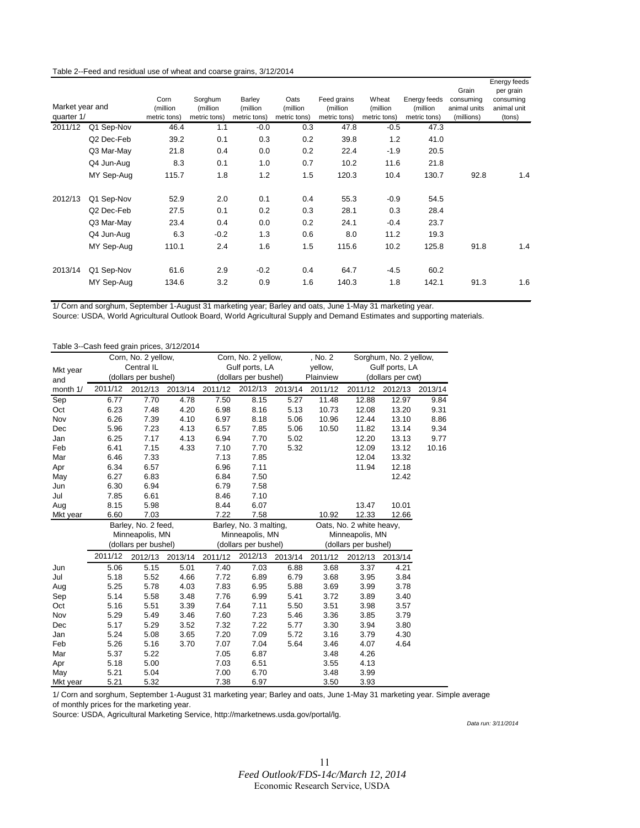#### Table 2--Feed and residual use of wheat and coarse grains, 3/12/2014

|                 |            |                          |                          |                          |                          |                           |                          |                          |                            | Energy feeds |
|-----------------|------------|--------------------------|--------------------------|--------------------------|--------------------------|---------------------------|--------------------------|--------------------------|----------------------------|--------------|
|                 |            |                          |                          |                          |                          |                           |                          |                          | Grain                      | per grain    |
| Market year and |            | Corn                     | Sorghum                  | Barley                   | Oats                     | Feed grains               | Wheat                    | Energy feeds             | consuming                  | consuming    |
| quarter 1/      |            | (million<br>metric tons) | (million<br>metric tons) | (million<br>metric tons) | (million<br>metric tons) | (million)<br>metric tons) | (million<br>metric tons) | (million<br>metric tons) | animal units<br>(millions) | animal unit  |
|                 |            |                          |                          |                          |                          |                           |                          |                          |                            | (tons)       |
| 2011/12         | Q1 Sep-Nov | 46.4                     | 1.1                      | $-0.0$                   | 0.3                      | 47.8                      | $-0.5$                   | 47.3                     |                            |              |
|                 | Q2 Dec-Feb | 39.2                     | 0.1                      | 0.3                      | 0.2                      | 39.8                      | 1.2                      | 41.0                     |                            |              |
|                 | Q3 Mar-May | 21.8                     | 0.4                      | 0.0                      | 0.2                      | 22.4                      | $-1.9$                   | 20.5                     |                            |              |
|                 | Q4 Jun-Aug | 8.3                      | 0.1                      | 1.0                      | 0.7                      | 10.2                      | 11.6                     | 21.8                     |                            |              |
|                 | MY Sep-Aug | 115.7                    | 1.8                      | 1.2                      | 1.5                      | 120.3                     | 10.4                     | 130.7                    | 92.8                       | 1.4          |
| 2012/13         | Q1 Sep-Nov | 52.9                     | 2.0                      | 0.1                      | 0.4                      | 55.3                      | $-0.9$                   | 54.5                     |                            |              |
|                 | Q2 Dec-Feb | 27.5                     | 0.1                      | 0.2                      | 0.3                      | 28.1                      | 0.3                      | 28.4                     |                            |              |
|                 | Q3 Mar-May | 23.4                     | 0.4                      | 0.0                      | 0.2                      | 24.1                      | $-0.4$                   | 23.7                     |                            |              |
|                 | Q4 Jun-Aug | 6.3                      | $-0.2$                   | 1.3                      | 0.6                      | 8.0                       | 11.2                     | 19.3                     |                            |              |
|                 | MY Sep-Aug | 110.1                    | 2.4                      | 1.6                      | 1.5                      | 115.6                     | 10.2                     | 125.8                    | 91.8                       | 1.4          |
| 2013/14         | Q1 Sep-Nov | 61.6                     | 2.9                      | $-0.2$                   | 0.4                      | 64.7                      | $-4.5$                   | 60.2                     |                            |              |
|                 | MY Sep-Aug | 134.6                    | 3.2                      | 0.9                      | 1.6                      | 140.3                     | 1.8                      | 142.1                    | 91.3                       | 1.6          |

1/ Corn and sorghum, September 1-August 31 marketing year; Barley and oats, June 1-May 31 marketing year.

Source: USDA, World Agricultural Outlook Board, World Agricultural Supply and Demand Estimates and supporting materials.

g

#### Table 3--Cash feed grain prices, 3/12/2014

|          |         | Corn, No. 2 yellow,  |         |         | Corn, No. 2 yellow,    |         | , No. 2   |                          | Sorghum, No. 2 yellow, |         |
|----------|---------|----------------------|---------|---------|------------------------|---------|-----------|--------------------------|------------------------|---------|
| Mkt year |         | Central IL           |         |         | Gulf ports, LA         |         | yellow,   | Gulf ports, LA           |                        |         |
| and      |         | (dollars per bushel) |         |         | (dollars per bushel)   |         | Plainview |                          | (dollars per cwt)      |         |
| month 1/ | 2011/12 | 2012/13              | 2013/14 | 2011/12 | 2012/13                | 2013/14 | 2011/12   | 2011/12                  | 2012/13                | 2013/14 |
| Sep      | 6.77    | 7.70                 | 4.78    | 7.50    | 8.15                   | 5.27    | 11.48     | 12.88                    | 12.97                  | 9.84    |
| Oct      | 6.23    | 7.48                 | 4.20    | 6.98    | 8.16                   | 5.13    | 10.73     | 12.08                    | 13.20                  | 9.31    |
| Nov      | 6.26    | 7.39                 | 4.10    | 6.97    | 8.18                   | 5.06    | 10.96     | 12.44                    | 13.10                  | 8.86    |
| Dec      | 5.96    | 7.23                 | 4.13    | 6.57    | 7.85                   | 5.06    | 10.50     | 11.82                    | 13.14                  | 9.34    |
| Jan      | 6.25    | 7.17                 | 4.13    | 6.94    | 7.70                   | 5.02    |           | 12.20                    | 13.13                  | 9.77    |
| Feb      | 6.41    | 7.15                 | 4.33    | 7.10    | 7.70                   | 5.32    |           | 12.09                    | 13.12                  | 10.16   |
| Mar      | 6.46    | 7.33                 |         | 7.13    | 7.85                   |         |           | 12.04                    | 13.32                  |         |
| Apr      | 6.34    | 6.57                 |         | 6.96    | 7.11                   |         |           | 11.94                    | 12.18                  |         |
| May      | 6.27    | 6.83                 |         | 6.84    | 7.50                   |         |           |                          | 12.42                  |         |
| Jun      | 6.30    | 6.94                 |         | 6.79    | 7.58                   |         |           |                          |                        |         |
| Jul      | 7.85    | 6.61                 |         | 8.46    | 7.10                   |         |           |                          |                        |         |
| Aug      | 8.15    | 5.98                 |         | 8.44    | 6.07                   |         |           | 13.47                    | 10.01                  |         |
| Mkt year | 6.60    | 7.03                 |         | 7.22    | 7.58                   |         | 10.92     | 12.33                    | 12.66                  |         |
|          |         |                      |         |         |                        |         |           |                          |                        |         |
|          |         | Barley, No. 2 feed,  |         |         | Barley, No. 3 malting, |         |           | Oats, No. 2 white heavy, |                        |         |
|          |         | Minneapolis, MN      |         |         | Minneapolis, MN        |         |           | Minneapolis, MN          |                        |         |
|          |         | (dollars per bushel) |         |         | (dollars per bushel)   |         |           | (dollars per bushel)     |                        |         |
|          | 2011/12 | 2012/13              | 2013/14 | 2011/12 | 2012/13                | 2013/14 | 2011/12   | 2012/13                  | 2013/14                |         |
| Jun      | 5.06    | 5.15                 | 5.01    | 7.40    | 7.03                   | 6.88    | 3.68      | 3.37                     | 4.21                   |         |
| Jul      | 5.18    | 5.52                 | 4.66    | 7.72    | 6.89                   | 6.79    | 3.68      | 3.95                     | 3.84                   |         |
| Aug      | 5.25    | 5.78                 | 4.03    | 7.83    | 6.95                   | 5.88    | 3.69      | 3.99                     | 3.78                   |         |
| Sep      | 5.14    | 5.58                 | 3.48    | 7.76    | 6.99                   | 5.41    | 3.72      | 3.89                     | 3.40                   |         |
| Oct      | 5.16    | 5.51                 | 3.39    | 7.64    | 7.11                   | 5.50    | 3.51      | 3.98                     | 3.57                   |         |
| Nov      | 5.29    | 5.49                 | 3.46    | 7.60    | 7.23                   | 5.46    | 3.36      | 3.85                     | 3.79                   |         |
| Dec      | 5.17    | 5.29                 | 3.52    | 7.32    | 7.22                   | 5.77    | 3.30      | 3.94                     | 3.80                   |         |
| Jan      | 5.24    | 5.08                 | 3.65    | 7.20    | 7.09                   | 5.72    | 3.16      | 3.79                     | 4.30                   |         |
| Feb      | 5.26    | 5.16                 | 3.70    | 7.07    | 7.04                   | 5.64    | 3.46      | 4.07                     | 4.64                   |         |
| Mar      | 5.37    | 5.22                 |         | 7.05    | 6.87                   |         | 3.48      | 4.26                     |                        |         |
| Apr      | 5.18    | 5.00                 |         | 7.03    | 6.51                   |         | 3.55      | 4.13                     |                        |         |
| May      | 5.21    | 5.04                 |         | 7.00    | 6.70                   |         | 3.48      | 3.99                     |                        |         |

1/ Corn and sorghum, September 1-August 31 marketing year; Barley and oats, June 1-May 31 marketing year. Simple average of monthly prices for the marketing year.

Source: USDA, Agricultural Marketing Service, http://marketnews.usda.gov/portal/lg.

*Data run: 3/11/2014*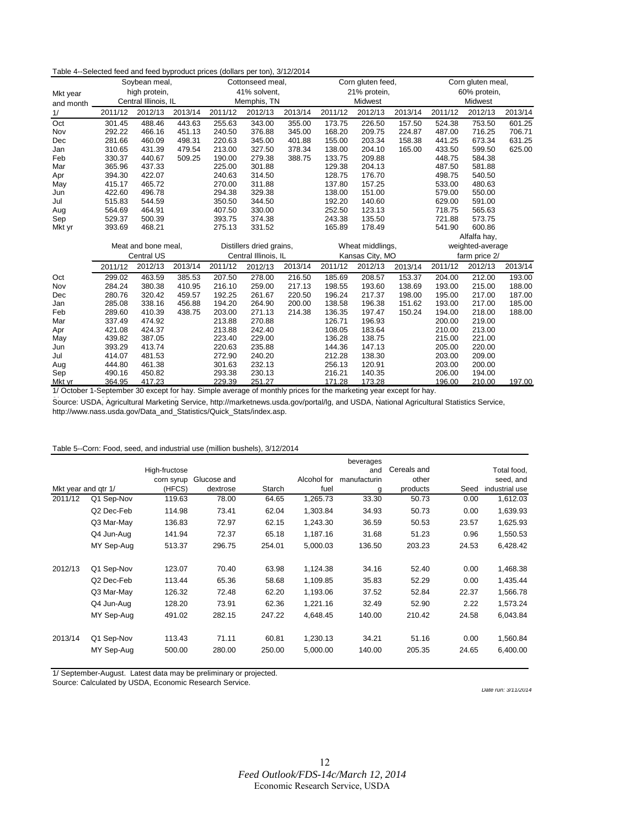#### Table 4--Selected feed and feed byproduct prices (dollars per ton), 3/12/2014

| Mkt year<br>and month |         | Soybean meal,<br>high protein,<br>Central Illinois, IL |         | Cottonseed meal,<br>41% solvent,<br>Memphis, TN |         |         | Corn gluten feed,<br>21% protein,<br>Midwest |                  |         | Corn gluten meal,<br>60% protein,<br>Midwest |                  |         |
|-----------------------|---------|--------------------------------------------------------|---------|-------------------------------------------------|---------|---------|----------------------------------------------|------------------|---------|----------------------------------------------|------------------|---------|
| 1/                    | 2011/12 | 2012/13                                                | 2013/14 | 2011/12                                         | 2012/13 | 2013/14 | 2011/12                                      | 2012/13          | 2013/14 | 2011/12                                      | 2012/13          | 2013/14 |
| Oct                   | 301.45  | 488.46                                                 | 443.63  | 255.63                                          | 343.00  | 355.00  | 173.75                                       | 226.50           | 157.50  | 524.38                                       | 753.50           | 601.25  |
| Nov                   | 292.22  | 466.16                                                 | 451.13  | 240.50                                          | 376.88  | 345.00  | 168.20                                       | 209.75           | 224.87  | 487.00                                       | 716.25           | 706.71  |
| Dec                   | 281.66  | 460.09                                                 | 498.31  | 220.63                                          | 345.00  | 401.88  | 155.00                                       | 203.34           | 158.38  | 441.25                                       | 673.34           | 631.25  |
| Jan                   | 310.65  | 431.39                                                 | 479.54  | 213.00                                          | 327.50  | 378.34  | 138.00                                       | 204.10           | 165.00  | 433.50                                       | 599.50           | 625.00  |
| Feb                   | 330.37  | 440.67                                                 | 509.25  | 190.00                                          | 279.38  | 388.75  | 133.75                                       | 209.88           |         | 448.75                                       | 584.38           |         |
| Mar                   | 365.96  | 437.33                                                 |         | 225.00                                          | 301.88  |         | 129.38                                       | 204.13           |         | 487.50                                       | 581.88           |         |
| Apr                   | 394.30  | 422.07                                                 |         | 240.63                                          | 314.50  |         | 128.75                                       | 176.70           |         | 498.75                                       | 540.50           |         |
| May                   | 415.17  | 465.72                                                 |         | 270.00                                          | 311.88  |         | 137.80                                       | 157.25           |         | 533.00                                       | 480.63           |         |
| Jun                   | 422.60  | 496.78                                                 |         | 294.38                                          | 329.38  |         | 138.00                                       | 151.00           |         | 579.00                                       | 550.00           |         |
| Jul                   | 515.83  | 544.59                                                 |         | 350.50                                          | 344.50  |         | 192.20                                       | 140.60           |         | 629.00                                       | 591.00           |         |
| Aug                   | 564.69  | 464.91                                                 |         | 407.50                                          | 330.00  |         | 252.50                                       | 123.13           |         | 718.75                                       | 565.63           |         |
| Sep                   | 529.37  | 500.39                                                 |         | 393.75                                          | 374.38  |         | 243.38                                       | 135.50           |         | 721.88                                       | 573.75           |         |
| Mkt yr                | 393.69  | 468.21                                                 |         | 275.13                                          | 331.52  |         | 165.89                                       | 178.49           |         | 541.90                                       | 600.86           |         |
|                       |         |                                                        |         |                                                 |         |         |                                              |                  |         |                                              | Alfalfa hay,     |         |
|                       |         | Meat and bone meal,                                    |         | Distillers dried grains,                        |         |         |                                              | Wheat middlings, |         |                                              | weighted-average |         |
|                       |         | <b>Central US</b>                                      |         | Central Illinois, IL                            |         |         | Kansas City, MO                              |                  |         |                                              | farm price 2/    |         |
|                       | 2011/12 | 2012/13                                                | 2013/14 | 2011/12                                         | 2012/13 | 2013/14 | 2011/12                                      | 2012/13          | 2013/14 | 2011/12                                      | 2012/13          | 2013/14 |
| Oct                   | 299.02  | 463.59                                                 | 385.53  | 207.50                                          | 278.00  | 216.50  | 185.69                                       | 208.57           | 153.37  | 204.00                                       | 212.00           | 193.00  |
| Nov                   | 284.24  | 380.38                                                 | 410.95  | 216.10                                          | 259.00  | 217.13  | 198.55                                       | 193.60           | 138.69  | 193.00                                       | 215.00           | 188.00  |
| Dec                   | 280.76  | 320.42                                                 | 459.57  | 192.25                                          | 261.67  | 220.50  | 196.24                                       | 217.37           | 198.00  | 195.00                                       | 217.00           | 187.00  |
| Jan                   | 285.08  | 338.16                                                 | 456.88  | 194.20                                          | 264.90  | 200.00  | 138.58                                       | 196.38           | 151.62  | 193.00                                       | 217.00           | 185.00  |
| Feb                   | 289.60  | 410.39                                                 | 438.75  | 203.00                                          | 271.13  | 214.38  | 136.35                                       | 197.47           | 150.24  | 194.00                                       | 218.00           | 188.00  |
| Mar                   | 337.49  | 474.92                                                 |         | 213.88                                          | 270.88  |         | 126.71                                       | 196.93           |         | 200.00                                       | 219.00           |         |
| Apr                   | 421.08  | 424.37                                                 |         | 213.88                                          | 242.40  |         | 108.05                                       | 183.64           |         | 210.00                                       | 213.00           |         |
| May                   | 439.82  | 387.05                                                 |         | 223.40                                          | 229.00  |         | 136.28                                       | 138.75           |         | 215.00                                       | 221.00           |         |
| Jun                   | 393.29  | 413.74                                                 |         | 220.63                                          | 235.88  |         | 144.36                                       | 147.13           |         | 205.00                                       | 220.00           |         |
| Jul                   | 414.07  | 481.53                                                 |         | 272.90                                          | 240.20  |         | 212.28                                       | 138.30           |         | 203.00                                       | 209.00           |         |
| Aug                   | 444.80  | 461.38                                                 |         | 301.63                                          | 232.13  |         | 256.13                                       | 120.91           |         | 203.00                                       | 200.00           |         |
| Sep                   | 490.16  | 450.82                                                 |         | 293.38                                          | 230.13  |         | 216.21                                       | 140.35           |         | 206.00                                       | 194.00           |         |
| Mkt yr                | 364.95  | 417.23                                                 |         | 229.39                                          | 251.27  |         | 171.28                                       | 173.28           |         | 196.00                                       | 210.00           | 197.00  |

1/ October 1-September 30 except for hay. Simple average of monthly prices for the marketing year except for hay.

Source: USDA, Agricultural Marketing Service, http://marketnews.usda.gov/portal/lg, and USDA, National Agricultural Statistics Service, http://www.nass.usda.gov/Data\_and\_Statistics/Quick\_Stats/index.asp.

#### Table 5--Corn: Food, seed, and industrial use (million bushels), 3/12/2014

|         | $1$ able $3$ -Oom. Tood, seed, and industrial use (million busitels), or iz/z014 |                                       |                         |        |                     |                                       |                                  |       |                                            |
|---------|----------------------------------------------------------------------------------|---------------------------------------|-------------------------|--------|---------------------|---------------------------------------|----------------------------------|-------|--------------------------------------------|
|         | Mkt year and gtr 1/                                                              | High-fructose<br>corn syrup<br>(HFCS) | Glucose and<br>dextrose | Starch | Alcohol for<br>fuel | beverages<br>and<br>manufacturin<br>g | Cereals and<br>other<br>products | Seed  | Total food,<br>seed, and<br>industrial use |
| 2011/12 | Q1 Sep-Nov                                                                       | 119.63                                | 78.00                   | 64.65  | 1,265.73            | 33.30                                 | 50.73                            | 0.00  | 1,612.03                                   |
|         | Q2 Dec-Feb                                                                       | 114.98                                | 73.41                   | 62.04  | 1,303.84            | 34.93                                 | 50.73                            | 0.00  | 1,639.93                                   |
|         | Q3 Mar-May                                                                       | 136.83                                | 72.97                   | 62.15  | 1,243.30            | 36.59                                 | 50.53                            | 23.57 | 1,625.93                                   |
|         | Q4 Jun-Aug                                                                       | 141.94                                | 72.37                   | 65.18  | 1,187.16            | 31.68                                 | 51.23                            | 0.96  | 1,550.53                                   |
|         | MY Sep-Aug                                                                       | 513.37                                | 296.75                  | 254.01 | 5,000.03            | 136.50                                | 203.23                           | 24.53 | 6,428.42                                   |
| 2012/13 | Q1 Sep-Nov                                                                       | 123.07                                | 70.40                   | 63.98  | 1,124.38            | 34.16                                 | 52.40                            | 0.00  | 1,468.38                                   |
|         | Q2 Dec-Feb                                                                       | 113.44                                | 65.36                   | 58.68  | 1,109.85            | 35.83                                 | 52.29                            | 0.00  | 1,435.44                                   |
|         | Q3 Mar-May                                                                       | 126.32                                | 72.48                   | 62.20  | 1,193.06            | 37.52                                 | 52.84                            | 22.37 | 1,566.78                                   |
|         | Q4 Jun-Aug                                                                       | 128.20                                | 73.91                   | 62.36  | 1,221.16            | 32.49                                 | 52.90                            | 2.22  | 1,573.24                                   |
|         | MY Sep-Aug                                                                       | 491.02                                | 282.15                  | 247.22 | 4.648.45            | 140.00                                | 210.42                           | 24.58 | 6,043.84                                   |
| 2013/14 | Q1 Sep-Nov                                                                       | 113.43                                | 71.11                   | 60.81  | 1,230.13            | 34.21                                 | 51.16                            | 0.00  | 1,560.84                                   |
|         | MY Sep-Aug                                                                       | 500.00                                | 280.00                  | 250.00 | 5,000.00            | 140.00                                | 205.35                           | 24.65 | 6,400.00                                   |

1/ September-August. Latest data may be preliminary or projected. Source: Calculated by USDA, Economic Research Service.

*Date run: 3/11/2014*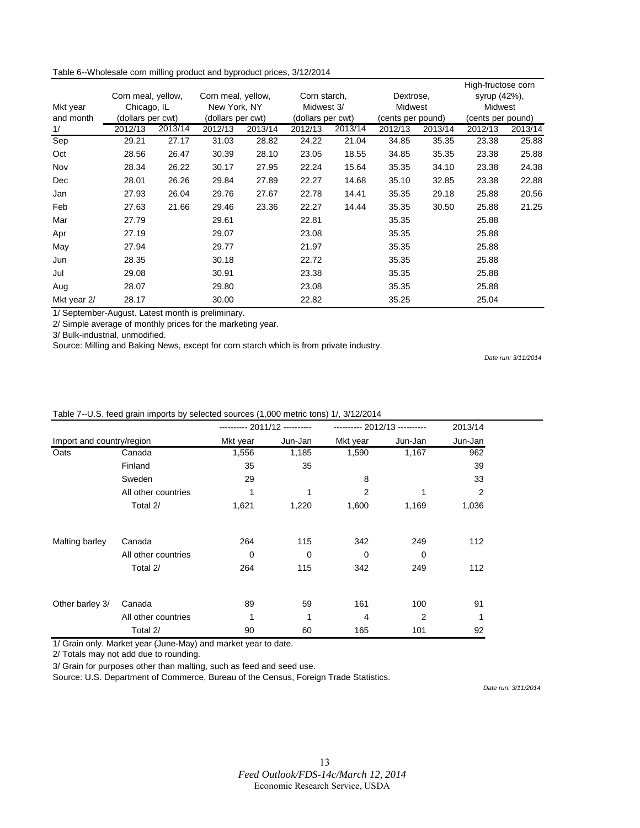| Table 6--Wholesale corn milling product and byproduct prices, 3/12/2014 |  |  |  |
|-------------------------------------------------------------------------|--|--|--|
|-------------------------------------------------------------------------|--|--|--|

|             |                    |         |                    |         |                   |            |                   |                | High-fructose corn |         |
|-------------|--------------------|---------|--------------------|---------|-------------------|------------|-------------------|----------------|--------------------|---------|
|             | Corn meal, yellow, |         | Corn meal, yellow, |         | Corn starch,      |            | Dextrose,         |                | syrup (42%),       |         |
| Mkt year    | Chicago, IL        |         | New York, NY       |         |                   | Midwest 3/ |                   | <b>Midwest</b> | Midwest            |         |
| and month   | (dollars per cwt)  |         | (dollars per cwt)  |         | (dollars per cwt) |            | (cents per pound) |                | (cents per pound)  |         |
| 1/          | 2012/13            | 2013/14 | 2012/13            | 2013/14 | 2012/13           | 2013/14    | 2012/13           | 2013/14        | 2012/13            | 2013/14 |
| Sep         | 29.21              | 27.17   | 31.03              | 28.82   | 24.22             | 21.04      | 34.85             | 35.35          | 23.38              | 25.88   |
| Oct         | 28.56              | 26.47   | 30.39              | 28.10   | 23.05             | 18.55      | 34.85             | 35.35          | 23.38              | 25.88   |
| Nov         | 28.34              | 26.22   | 30.17              | 27.95   | 22.24             | 15.64      | 35.35             | 34.10          | 23.38              | 24.38   |
| Dec         | 28.01              | 26.26   | 29.84              | 27.89   | 22.27             | 14.68      | 35.10             | 32.85          | 23.38              | 22.88   |
| Jan         | 27.93              | 26.04   | 29.76              | 27.67   | 22.78             | 14.41      | 35.35             | 29.18          | 25.88              | 20.56   |
| Feb         | 27.63              | 21.66   | 29.46              | 23.36   | 22.27             | 14.44      | 35.35             | 30.50          | 25.88              | 21.25   |
| Mar         | 27.79              |         | 29.61              |         | 22.81             |            | 35.35             |                | 25.88              |         |
| Apr         | 27.19              |         | 29.07              |         | 23.08             |            | 35.35             |                | 25.88              |         |
| May         | 27.94              |         | 29.77              |         | 21.97             |            | 35.35             |                | 25.88              |         |
| Jun         | 28.35              |         | 30.18              |         | 22.72             |            | 35.35             |                | 25.88              |         |
| Jul         | 29.08              |         | 30.91              |         | 23.38             |            | 35.35             |                | 25.88              |         |
| Aug         | 28.07              |         | 29.80              |         | 23.08             |            | 35.35             |                | 25.88              |         |
| Mkt year 2/ | 28.17              |         | 30.00              |         | 22.82             |            | 35.25             |                | 25.04              |         |

1/ September-August. Latest month is preliminary.

2/ Simple average of monthly prices for the marketing year.

3/ Bulk-industrial, unmodified.

Source: Milling and Baking News, except for corn starch which is from private industry.

*Date run: 3/11/2014*

#### Table 7--U.S. feed grain imports by selected sources (1,000 metric tons) 1/, 3/12/2014

|                           |                     | ---------- 2011/12 ---------- |         | ---------- 2012/13 ---------- |                | 2013/14        |
|---------------------------|---------------------|-------------------------------|---------|-------------------------------|----------------|----------------|
| Import and country/region |                     | Mkt year                      | Jun-Jan | Mkt year                      | Jun-Jan        | Jun-Jan        |
| Oats                      | Canada              | 1,556                         | 1,185   | 1,590                         | 1,167          | 962            |
|                           | Finland             | 35                            | 35      |                               |                | 39             |
|                           | Sweden              | 29                            |         | 8                             |                | 33             |
|                           | All other countries |                               |         | $\overline{2}$                |                | $\overline{2}$ |
|                           | Total 2/            | 1,621                         | 1,220   | 1,600                         | 1,169          | 1,036          |
| Malting barley            | Canada              | 264                           | 115     | 342                           | 249            | 112            |
|                           | All other countries | $\Omega$                      | 0       | $\mathbf 0$                   | 0              |                |
|                           | Total 2/            | 264                           | 115     | 342                           | 249            | 112            |
| Other barley 3/           | Canada              | 89                            | 59      | 161                           | 100            | 91             |
|                           | All other countries | 1                             | 1       | 4                             | $\overline{2}$ | 1              |
|                           | Total 2/            | 90                            | 60      | 165                           | 101            | 92             |

1/ Grain only. Market year (June-May) and market year to date.

2/ Totals may not add due to rounding.

3/ Grain for purposes other than malting, such as feed and seed use.

Source: U.S. Department of Commerce, Bureau of the Census, Foreign Trade Statistics.

*Date run: 3/11/2014*